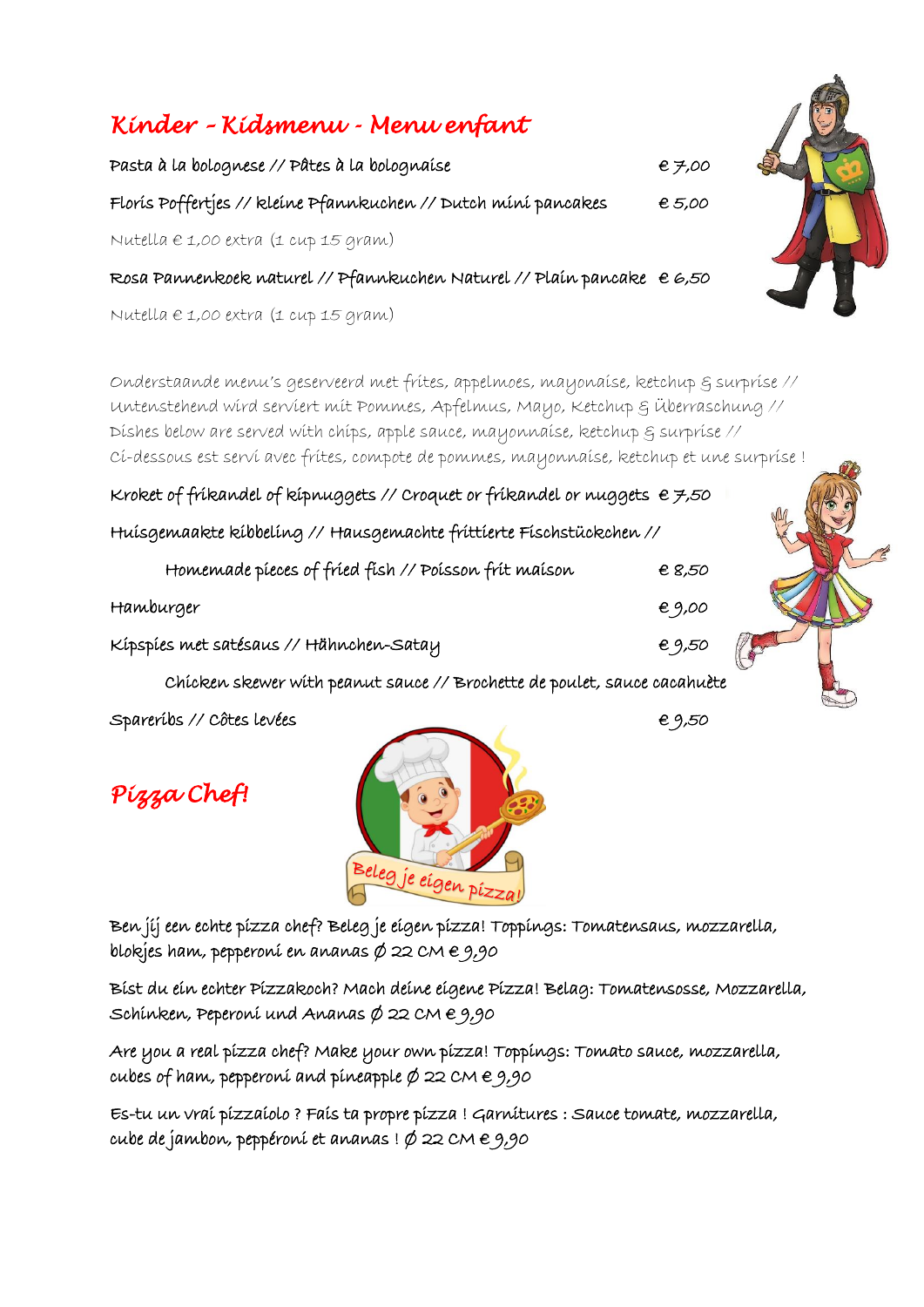## *Kinder – Kidsmenu - Menu enfant*

Pasta à la bolognese // Pâtes à la bolognaise  $\epsilon \neq 0$ Floris Poffertjes // kleine Pfannkuchen // Dutch mini pancakes  $\epsilon$  5,00 Nutella  $\epsilon$  1,00 extra (1 cup 15 gram) Rosa Pannenkoek naturel // Pfannkuchen Naturel // Plain pancake  $\epsilon$  6,50

Nutella  $\epsilon$  1,00 extra (1 cup 15 gram)

Onderstaande menu's geserveerd met frites, appelmoes, mayonaise, ketchup & surprise // Untenstehend wird serviert mit Pommes, Apfelmus, Mayo, Ketchup & Überraschung // Dishes below are served with chips, apple sauce, mayonnaise, ketchup & surprise // Ci-dessous est servi avec frites, compote de pommes, mayonnaise, ketchup et une surprise !

Kroket of frikandel of kipnuggets // Croquet or frikandel or nuggets  $e \neq 50$ Huisgemaakte kibbeling // Hausgemachte frittierte Fischstückchen //

| Homemade pieces of fried fish // Poisson frit maison                     | € 8,50 |                      |
|--------------------------------------------------------------------------|--------|----------------------|
| Hamburger                                                                | e9,00  |                      |
| Kipspies met satésaus // Hähnchen-Satay                                  | €9,50  | $\sqrt{\frac{2}{3}}$ |
| Chicken skewer with peanut sauce // Brochette de poulet, sauce cacahuète |        |                      |

 $Spareríbs // Côtes levées$   $\epsilon$  9,50

*Pizza Chef!* 



Ben jij een echte pizza chef? Beleg je eigen pizza! Toppings: Tomatensaus, mozzarella, blokjes ham, pepperoni en ananas  $\phi$  22 CM  $\epsilon$  9,90

Bist du ein echter Pizzakoch? Mach deine eigene Pizza! Belag: Tomatensosse, Mozzarella, Schinken, Peperoni und Ananas  $\phi$  22 CM  $\epsilon$  9,90

Are you a real pizza chef? Make your own pizza! Toppings: Tomato sauce, mozzarella, cubes of ham, pepperoni and pineapple  $\phi$  22 CM  $\epsilon$  9,90

Es-tu un vrai pizzaiolo ? Fais ta propre pizza ! Garnitures : Sauce tomate, mozzarella, cube de jambon, peppéroní et ananas !  $\phi$  22 CM  $\epsilon$  9,90